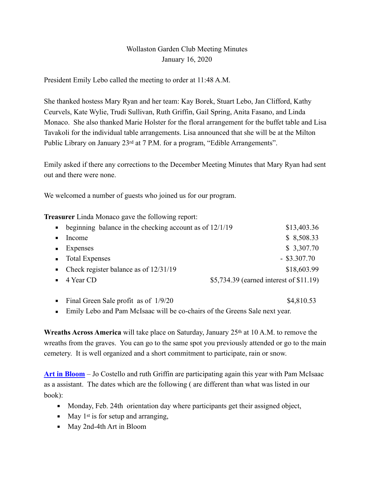## Wollaston Garden Club Meeting Minutes January 16, 2020

President Emily Lebo called the meeting to order at 11:48 A.M.

She thanked hostess Mary Ryan and her team: Kay Borek, Stuart Lebo, Jan Clifford, Kathy Ceurvels, Kate Wylie, Trudi Sullivan, Ruth Griffin, Gail Spring, Anita Fasano, and Linda Monaco. She also thanked Marie Holster for the floral arrangement for the buffet table and Lisa Tavakoli for the individual table arrangements. Lisa announced that she will be at the Milton Public Library on January 23<sup>rd</sup> at 7 P.M. for a program, "Edible Arrangements".

Emily asked if there any corrections to the December Meeting Minutes that Mary Ryan had sent out and there were none.

We welcomed a number of guests who joined us for our program.

**Treasurer** Linda Monaco gave the following report:

|                  | beginning balance in the checking account as of $12/1/19$ | \$13,403.36                             |
|------------------|-----------------------------------------------------------|-----------------------------------------|
| $\blacksquare$ . | Income                                                    | \$8,508.33                              |
|                  | $\blacksquare$ Expenses                                   | \$3,307.70                              |
|                  | • Total Expenses                                          | $-$ \$3.307.70                          |
|                  | • Check register balance as of $12/31/19$                 | \$18,603.99                             |
|                  | $\blacksquare$ 4 Year CD                                  | \$5,734.39 (earned interest of \$11.19) |
|                  |                                                           |                                         |

- Final Green Sale profit as of  $1/9/20$  \$4,810.53
- **Emily Lebo and Pam McIsaac will be co-chairs of the Greens Sale next year.**

Wreaths Across America will take place on Saturday, January 25<sup>th</sup> at 10 A.M. to remove the wreaths from the graves. You can go to the same spot you previously attended or go to the main cemetery. It is well organized and a short commitment to participate, rain or snow.

**[Art in Bloom](https://www.philippacraddock.com/new-events/2020/5/3/fine-arts-museum-boston-art-in-bloom)** – Jo Costello and ruth Griffin are participating again this year with Pam McIsaac as a assistant. The dates which are the following ( are different than what was listed in our book):

- Monday, Feb. 24th orientation day where participants get their assigned object,
- $\blacksquare$  May 1<sup>st</sup> is for setup and arranging,
- May 2nd-4th Art in Bloom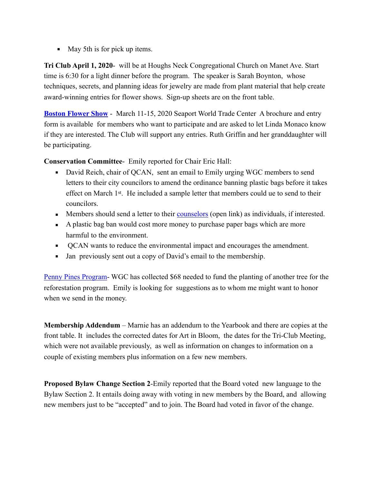■ May 5th is for pick up items.

**Tri Club April 1, 2020**- will be at Houghs Neck Congregational Church on Manet Ave. Start time is 6:30 for a light dinner before the program. The speaker is Sarah Boynton, whose techniques, secrets, and planning ideas for jewelry are made from plant material that help create award-winning entries for flower shows. Sign-up sheets are on the front table.

**[Boston Flower Show](https://bostonflowershow.com/exhibitor-info/floor-plan/2020-boston-flower-and-garden-show-floorplan-2/)** - March 11-15, 2020 Seaport World Trade Center A brochure and entry form is available for members who want to participate and are asked to let Linda Monaco know if they are interested. The Club will support any entries. Ruth Griffin and her granddaughter will be participating.

**Conservation Committee**- Emily reported for Chair Eric Hall:

- David Reich, chair of OCAN, sent an email to Emily urging WGC members to send letters to their city councilors to amend the ordinance banning plastic bags before it takes effect on March 1st. He included a sample letter that members could ue to send to their councilors.
- **Members should send a letter to their [counselors](https://www.quincyma.gov/govt/elected/city_council/councillor/default.htm) (open link) as individuals, if interested.**
- A plastic bag ban would cost more money to purchase paper bags which are more harmful to the environment.
- QCAN wants to reduce the environmental impact and encourages the amendment.
- Jan previously sent out a copy of David's email to the membership.

[Penny Pines Program](http://gardenclub.org/projects/penny-pines.aspx)- WGC has collected \$68 needed to fund the planting of another tree for the reforestation program. Emily is looking for suggestions as to whom me might want to honor when we send in the money.

**Membership Addendum** – Marnie has an addendum to the Yearbook and there are copies at the front table. It includes the corrected dates for Art in Bloom, the dates for the Tri-Club Meeting, which were not available previously, as well as information on changes to information on a couple of existing members plus information on a few new members.

**Proposed Bylaw Change Section 2**-Emily reported that the Board voted new language to the Bylaw Section 2. It entails doing away with voting in new members by the Board, and allowing new members just to be "accepted" and to join. The Board had voted in favor of the change.